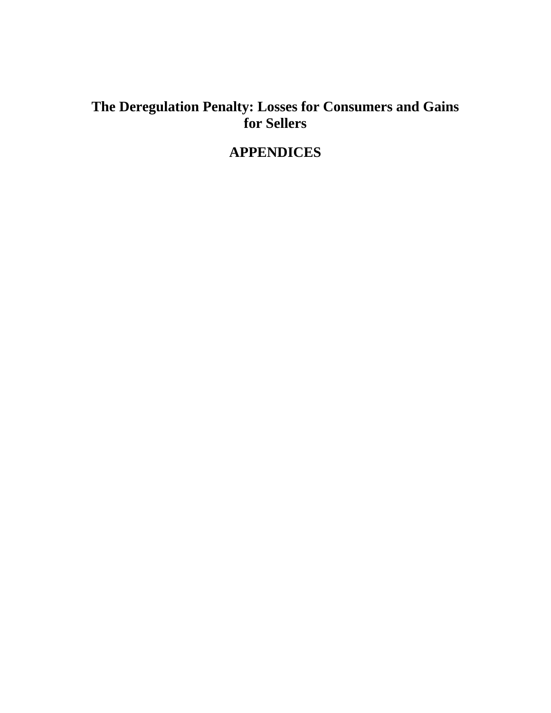## **The Deregulation Penalty: Losses for Consumers and Gains for Sellers**

# **APPENDICES**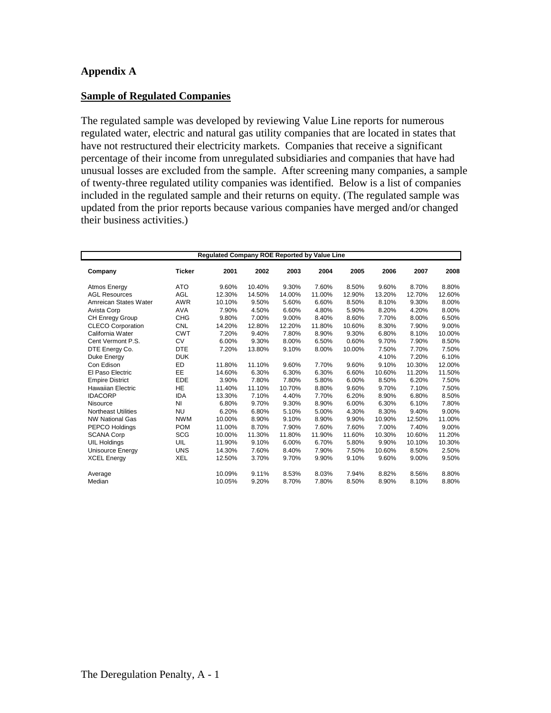#### **Appendix A**

#### **Sample of Regulated Companies**

The regulated sample was developed by reviewing Value Line reports for numerous regulated water, electric and natural gas utility companies that are located in states that have not restructured their electricity markets. Companies that receive a significant percentage of their income from unregulated subsidiaries and companies that have had unusual losses are excluded from the sample. After screening many companies, a sample of twenty-three regulated utility companies was identified. Below is a list of companies included in the regulated sample and their returns on equity. (The regulated sample was updated from the prior reports because various companies have merged and/or changed their business activities.)

| Regulated Company ROE Reported by Value Line |               |        |        |        |        |        |        |        |        |  |  |  |
|----------------------------------------------|---------------|--------|--------|--------|--------|--------|--------|--------|--------|--|--|--|
| Company                                      | <b>Ticker</b> | 2001   | 2002   | 2003   | 2004   | 2005   | 2006   | 2007   | 2008   |  |  |  |
| Atmos Energy                                 | <b>ATO</b>    | 9.60%  | 10.40% | 9.30%  | 7.60%  | 8.50%  | 9.60%  | 8.70%  | 8.80%  |  |  |  |
| <b>AGL Resources</b>                         | <b>AGL</b>    | 12.30% | 14.50% | 14.00% | 11.00% | 12.90% | 13.20% | 12.70% | 12.60% |  |  |  |
| Amreican States Water                        | <b>AWR</b>    | 10.10% | 9.50%  | 5.60%  | 6.60%  | 8.50%  | 8.10%  | 9.30%  | 8.00%  |  |  |  |
| Avista Corp                                  | <b>AVA</b>    | 7.90%  | 4.50%  | 6.60%  | 4.80%  | 5.90%  | 8.20%  | 4.20%  | 8.00%  |  |  |  |
| CH Enregy Group                              | <b>CHG</b>    | 9.80%  | 7.00%  | 9.00%  | 8.40%  | 8.60%  | 7.70%  | 8.00%  | 6.50%  |  |  |  |
| <b>CLECO Corporation</b>                     | <b>CNL</b>    | 14.20% | 12.80% | 12.20% | 11.80% | 10.60% | 8.30%  | 7.90%  | 9.00%  |  |  |  |
| California Water                             | <b>CWT</b>    | 7.20%  | 9.40%  | 7.80%  | 8.90%  | 9.30%  | 6.80%  | 8.10%  | 10.00% |  |  |  |
| Cent Vermont P.S.                            | <b>CV</b>     | 6.00%  | 9.30%  | 8.00%  | 6.50%  | 0.60%  | 9.70%  | 7.90%  | 8.50%  |  |  |  |
| DTE Energy Co.                               | <b>DTE</b>    | 7.20%  | 13.80% | 9.10%  | 8.00%  | 10.00% | 7.50%  | 7.70%  | 7.50%  |  |  |  |
| Duke Energy                                  | <b>DUK</b>    |        |        |        |        |        | 4.10%  | 7.20%  | 6.10%  |  |  |  |
| Con Edison                                   | <b>ED</b>     | 11.80% | 11.10% | 9.60%  | 7.70%  | 9.60%  | 9.10%  | 10.30% | 12.00% |  |  |  |
| El Paso Electric                             | EE            | 14.60% | 6.30%  | 6.30%  | 6.30%  | 6.60%  | 10.60% | 11.20% | 11.50% |  |  |  |
| <b>Empire District</b>                       | <b>EDE</b>    | 3.90%  | 7.80%  | 7.80%  | 5.80%  | 6.00%  | 8.50%  | 6.20%  | 7.50%  |  |  |  |
| <b>Hawaiian Electric</b>                     | <b>HE</b>     | 11.40% | 11.10% | 10.70% | 8.80%  | 9.60%  | 9.70%  | 7.10%  | 7.50%  |  |  |  |
| <b>IDACORP</b>                               | <b>IDA</b>    | 13.30% | 7.10%  | 4.40%  | 7.70%  | 6.20%  | 8.90%  | 6.80%  | 8.50%  |  |  |  |
| Nisource                                     | NI            | 6.80%  | 9.70%  | 9.30%  | 8.90%  | 6.00%  | 6.30%  | 6.10%  | 7.80%  |  |  |  |
| <b>Northeast Utilities</b>                   | <b>NU</b>     | 6.20%  | 6.80%  | 5.10%  | 5.00%  | 4.30%  | 8.30%  | 9.40%  | 9.00%  |  |  |  |
| <b>NW National Gas</b>                       | <b>NWM</b>    | 10.00% | 8.90%  | 9.10%  | 8.90%  | 9.90%  | 10.90% | 12.50% | 11.00% |  |  |  |
| PEPCO Holdings                               | <b>POM</b>    | 11.00% | 8.70%  | 7.90%  | 7.60%  | 7.60%  | 7.00%  | 7.40%  | 9.00%  |  |  |  |
| <b>SCANA Corp</b>                            | <b>SCG</b>    | 10.00% | 11.30% | 11.80% | 11.90% | 11.60% | 10.30% | 10.60% | 11.20% |  |  |  |
| <b>UIL Holdings</b>                          | UIL           | 11.90% | 9.10%  | 6.00%  | 6.70%  | 5.80%  | 9.90%  | 10.10% | 10.30% |  |  |  |
| <b>Unisource Energy</b>                      | <b>UNS</b>    | 14.30% | 7.60%  | 8.40%  | 7.90%  | 7.50%  | 10.60% | 8.50%  | 2.50%  |  |  |  |
| <b>XCEL Energy</b>                           | <b>XEL</b>    | 12.50% | 3.70%  | 9.70%  | 9.90%  | 9.10%  | 9.60%  | 9.00%  | 9.50%  |  |  |  |
| Average                                      |               | 10.09% | 9.11%  | 8.53%  | 8.03%  | 7.94%  | 8.82%  | 8.56%  | 8.80%  |  |  |  |
| Median                                       |               | 10.05% | 9.20%  | 8.70%  | 7.80%  | 8.50%  | 8.90%  | 8.10%  | 8.80%  |  |  |  |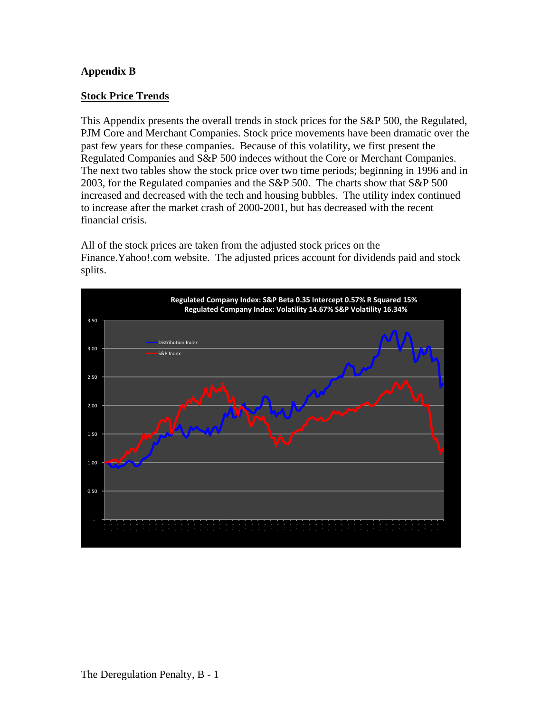## **Appendix B**

#### **Stock Price Trends**

This Appendix presents the overall trends in stock prices for the S&P 500, the Regulated, PJM Core and Merchant Companies. Stock price movements have been dramatic over the past few years for these companies. Because of this volatility, we first present the Regulated Companies and S&P 500 indeces without the Core or Merchant Companies. The next two tables show the stock price over two time periods; beginning in 1996 and in 2003, for the Regulated companies and the S&P 500. The charts show that S&P 500 increased and decreased with the tech and housing bubbles. The utility index continued to increase after the market crash of 2000-2001, but has decreased with the recent financial crisis.

All of the stock prices are taken from the adjusted stock prices on the Finance.Yahoo!.com website. The adjusted prices account for dividends paid and stock splits.

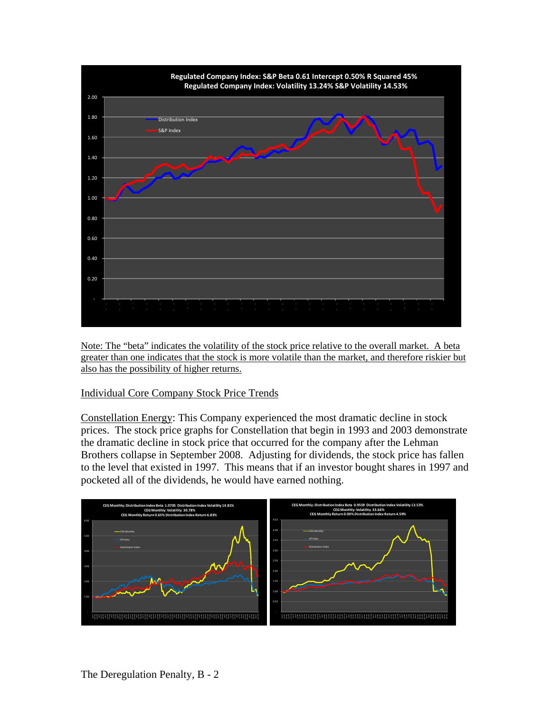

Note: The "beta" indicates the volatility of the stock price relative to the overall market. A beta greater than one indicates that the stock is more volatile than the market, and therefore riskier but also has the possibility of higher returns.

#### Individual Core Company Stock Price Trends

Constellation Energy: This Company experienced the most dramatic decline in stock prices. The stock price graphs for Constellation that begin in 1993 and 2003 demonstrate the dramatic decline in stock price that occurred for the company after the Lehman Brothers collapse in September 2008. Adjusting for dividends, the stock price has fallen to the level that existed in 1997. This means that if an investor bought shares in 1997 and pocketed all of the dividends, he would have earned nothing.

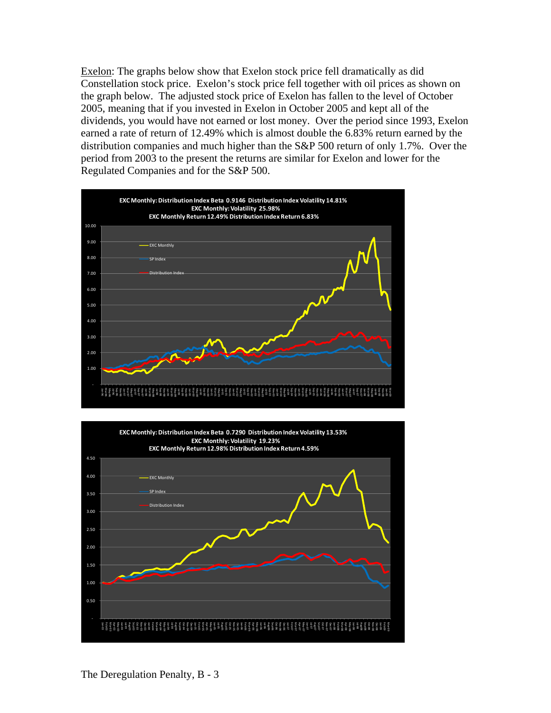Exelon: The graphs below show that Exelon stock price fell dramatically as did Constellation stock price. Exelon's stock price fell together with oil prices as shown on the graph below. The adjusted stock price of Exelon has fallen to the level of October 2005, meaning that if you invested in Exelon in October 2005 and kept all of the dividends, you would have not earned or lost money. Over the period since 1993, Exelon earned a rate of return of 12.49% which is almost double the 6.83% return earned by the distribution companies and much higher than the S&P 500 return of only 1.7%. Over the period from 2003 to the present the returns are similar for Exelon and lower for the Regulated Companies and for the S&P 500.



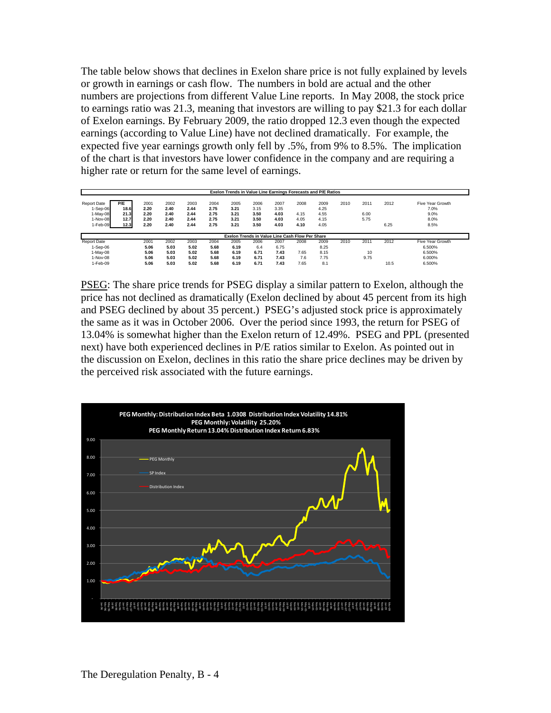The table below shows that declines in Exelon share price is not fully explained by levels or growth in earnings or cash flow. The numbers in bold are actual and the other numbers are projections from different Value Line reports. In May 2008, the stock price to earnings ratio was 21.3, meaning that investors are willing to pay \$21.3 for each dollar of Exelon earnings. By February 2009, the ratio dropped 12.3 even though the expected earnings (according to Value Line) have not declined dramatically. For example, the expected five year earnings growth only fell by .5%, from 9% to 8.5%. The implication of the chart is that investors have lower confidence in the company and are requiring a higher rate or return for the same level of earnings.

|                                            |                     |                      |                      |                      |                      |                      | Exelon Trends in Value Line Earnings Forecasts and P/E Ratios |                      |              |                      |      |              |      |                                  |
|--------------------------------------------|---------------------|----------------------|----------------------|----------------------|----------------------|----------------------|---------------------------------------------------------------|----------------------|--------------|----------------------|------|--------------|------|----------------------------------|
| <b>Report Date</b><br>1-Sep-06<br>1-May-08 | P/E<br>18.6<br>21.3 | 2001<br>2.20<br>2.20 | 2002<br>2.40<br>2.40 | 2003<br>2.44<br>2.44 | 2004<br>2.75<br>2.75 | 2005<br>3.21<br>3.21 | 2006<br>3.15<br>3.50                                          | 2007<br>3.35<br>4.03 | 2008<br>4.15 | 2009<br>4.25<br>4.55 | 2010 | 2011<br>6.00 | 2012 | Five Year Growth<br>7.0%<br>9.0% |
| 1-Nov-08<br>1-Feb-09                       | 12.7<br>12.3        | 2.20<br>2.20         | 2.40<br>2.40         | 2.44<br>2.44         | 2.75<br>2.75         | 3.21<br>3.21         | 3.50<br>3.50                                                  | 4.03<br>4.03         | 4.05<br>4.10 | 4.15<br>4.05         |      | 5.75         | 6.25 | 8.0%<br>8.5%                     |
|                                            |                     |                      |                      |                      |                      |                      | Exelon Trends in Value Line Cash Flow Per Share               |                      |              |                      |      |              |      |                                  |
| <b>Report Date</b><br>1-Sep-06             |                     | 2001<br>5.06         | 2002<br>5.03         | 2003<br>5.02         | 2004<br>5.68         | 2005<br>6.19         | 2006<br>6.4                                                   | 2007<br>6.75         | 2008         | 2009<br>8.25         | 2010 | 2011         | 2012 | Five Year Growth<br>6.500%       |
| 1-May-08                                   |                     | 5.06                 | 5.03                 | 5.02                 | 5.68                 | 6.19                 | 6.71                                                          | 7.43                 | 7.65         | 8.15                 |      | 10           |      | 6.500%                           |
| $1-Nov-08$<br>1-Feb-09                     |                     | 5.06<br>5.06         | 5.03<br>5.03         | 5.02<br>5.02         | 5.68<br>5.68         | 6.19<br>6.19         | 6.71<br>6.71                                                  | 7.43<br>7.43         | 7.6<br>7.65  | 7.75<br>8.1          |      | 9.75         | 10.5 | 6.000%<br>6.500%                 |

PSEG: The share price trends for PSEG display a similar pattern to Exelon, although the price has not declined as dramatically (Exelon declined by about 45 percent from its high and PSEG declined by about 35 percent.) PSEG's adjusted stock price is approximately the same as it was in October 2006. Over the period since 1993, the return for PSEG of 13.04% is somewhat higher than the Exelon return of 12.49%. PSEG and PPL (presented next) have both experienced declines in P/E ratios similar to Exelon. As pointed out in the discussion on Exelon, declines in this ratio the share price declines may be driven by the perceived risk associated with the future earnings.

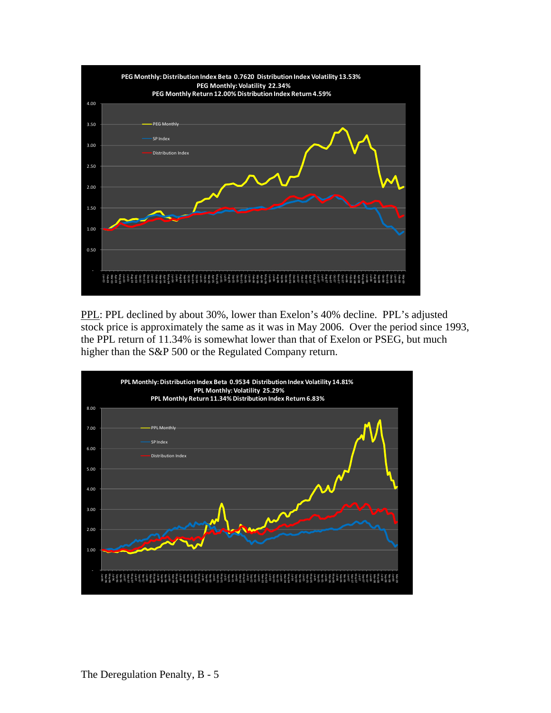

PPL: PPL declined by about 30%, lower than Exelon's 40% decline. PPL's adjusted stock price is approximately the same as it was in May 2006. Over the period since 1993, the PPL return of 11.34% is somewhat lower than that of Exelon or PSEG, but much higher than the S&P 500 or the Regulated Company return.

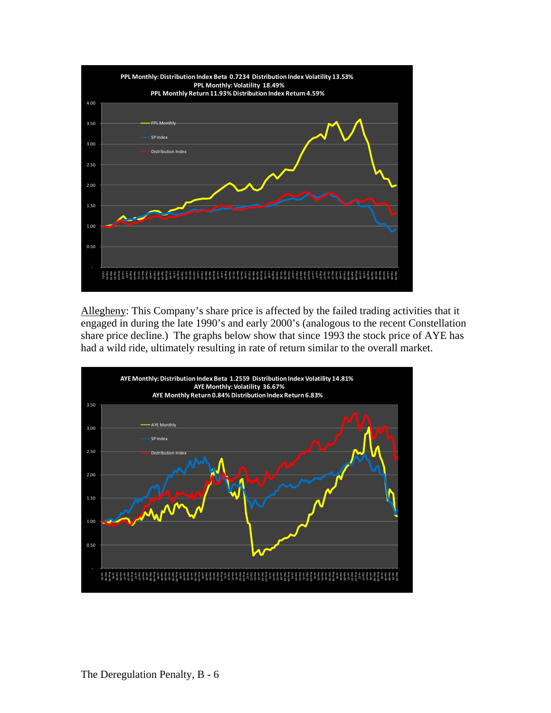

Allegheny: This Company's share price is affected by the failed trading activities that it engaged in during the late 1990's and early 2000's (analogous to the recent Constellation share price decline.) The graphs below show that since 1993 the stock price of AYE has had a wild ride, ultimately resulting in rate of return similar to the overall market.

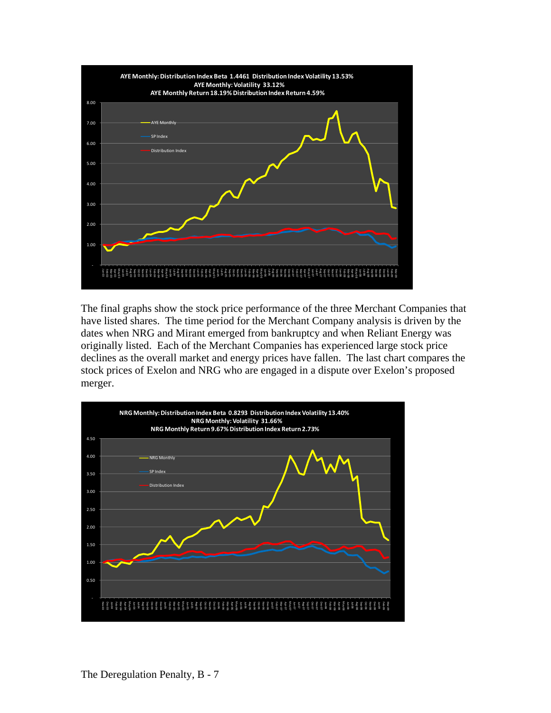

The final graphs show the stock price performance of the three Merchant Companies that have listed shares. The time period for the Merchant Company analysis is driven by the dates when NRG and Mirant emerged from bankruptcy and when Reliant Energy was originally listed. Each of the Merchant Companies has experienced large stock price declines as the overall market and energy prices have fallen. The last chart compares the stock prices of Exelon and NRG who are engaged in a dispute over Exelon's proposed merger.

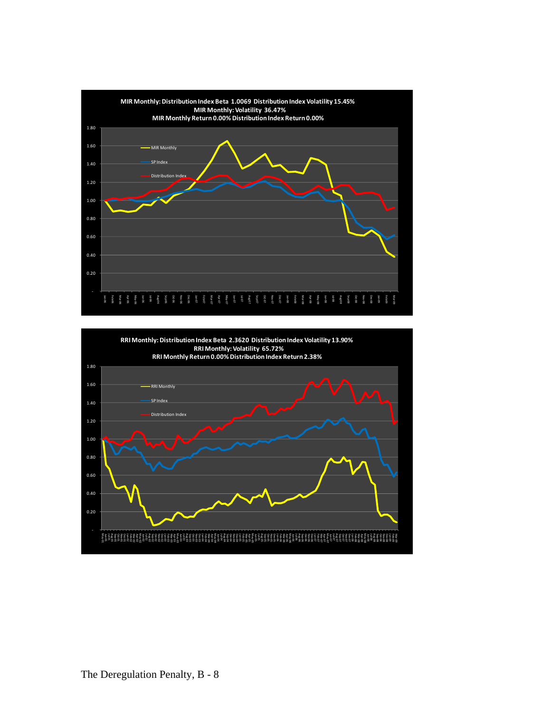

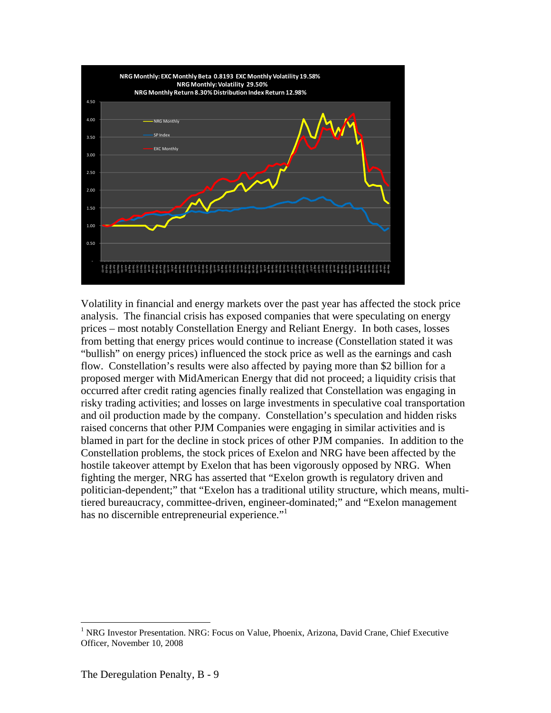

Volatility in financial and energy markets over the past year has affected the stock price analysis. The financial crisis has exposed companies that were speculating on energy prices – most notably Constellation Energy and Reliant Energy. In both cases, losses from betting that energy prices would continue to increase (Constellation stated it was "bullish" on energy prices) influenced the stock price as well as the earnings and cash flow. Constellation's results were also affected by paying more than \$2 billion for a proposed merger with MidAmerican Energy that did not proceed; a liquidity crisis that occurred after credit rating agencies finally realized that Constellation was engaging in risky trading activities; and losses on large investments in speculative coal transportation and oil production made by the company. Constellation's speculation and hidden risks raised concerns that other PJM Companies were engaging in similar activities and is blamed in part for the decline in stock prices of other PJM companies. In addition to the Constellation problems, the stock prices of Exelon and NRG have been affected by the hostile takeover attempt by Exelon that has been vigorously opposed by NRG. When fighting the merger, NRG has asserted that "Exelon growth is regulatory driven and politician-dependent;" that "Exelon has a traditional utility structure, which means, multitiered bureaucracy, committee-driven, engineer-dominated;" and "Exelon management has no discernible entrepreneurial experience."

 $\overline{a}$ 

<sup>&</sup>lt;sup>1</sup> NRG Investor Presentation. NRG: Focus on Value, Phoenix, Arizona, David Crane, Chief Executive Officer, November 10, 2008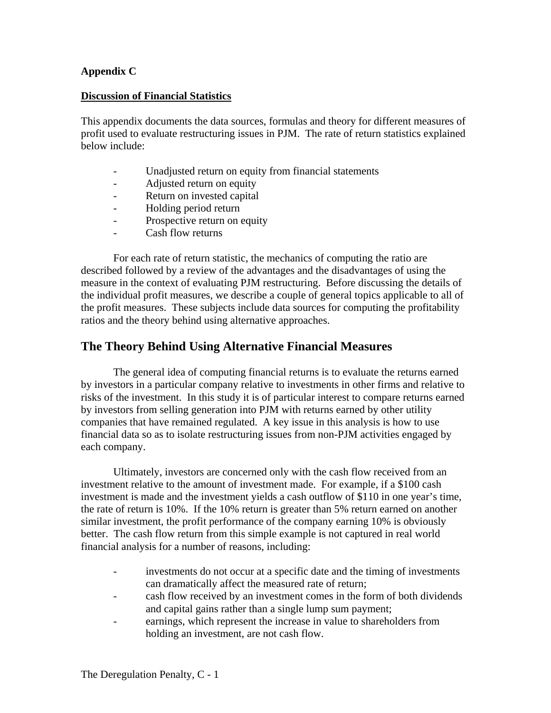#### **Appendix C**

#### **Discussion of Financial Statistics**

This appendix documents the data sources, formulas and theory for different measures of profit used to evaluate restructuring issues in PJM. The rate of return statistics explained below include:

- Unadjusted return on equity from financial statements
- Adjusted return on equity
- Return on invested capital
- Holding period return
- Prospective return on equity
- Cash flow returns

For each rate of return statistic, the mechanics of computing the ratio are described followed by a review of the advantages and the disadvantages of using the measure in the context of evaluating PJM restructuring. Before discussing the details of the individual profit measures, we describe a couple of general topics applicable to all of the profit measures. These subjects include data sources for computing the profitability ratios and the theory behind using alternative approaches.

## **The Theory Behind Using Alternative Financial Measures**

The general idea of computing financial returns is to evaluate the returns earned by investors in a particular company relative to investments in other firms and relative to risks of the investment. In this study it is of particular interest to compare returns earned by investors from selling generation into PJM with returns earned by other utility companies that have remained regulated. A key issue in this analysis is how to use financial data so as to isolate restructuring issues from non-PJM activities engaged by each company.

Ultimately, investors are concerned only with the cash flow received from an investment relative to the amount of investment made. For example, if a \$100 cash investment is made and the investment yields a cash outflow of \$110 in one year's time, the rate of return is 10%. If the 10% return is greater than 5% return earned on another similar investment, the profit performance of the company earning 10% is obviously better. The cash flow return from this simple example is not captured in real world financial analysis for a number of reasons, including:

- investments do not occur at a specific date and the timing of investments can dramatically affect the measured rate of return;
- cash flow received by an investment comes in the form of both dividends and capital gains rather than a single lump sum payment;
- earnings, which represent the increase in value to shareholders from holding an investment, are not cash flow.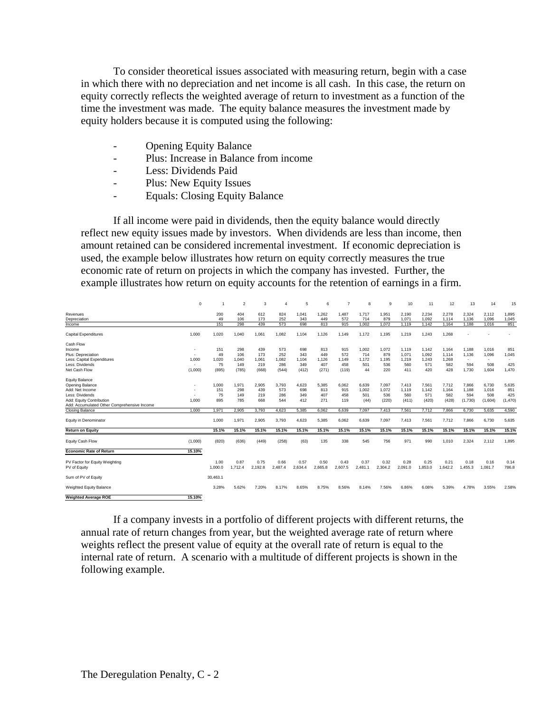To consider theoretical issues associated with measuring return, begin with a case in which there with no depreciation and net income is all cash. In this case, the return on equity correctly reflects the weighted average of return to investment as a function of the time the investment was made. The equity balance measures the investment made by equity holders because it is computed using the following:

- **Opening Equity Balance**
- Plus: Increase in Balance from income
- Less: Dividends Paid
- Plus: New Equity Issues
- Equals: Closing Equity Balance

If all income were paid in dividends, then the equity balance would directly reflect new equity issues made by investors. When dividends are less than income, then amount retained can be considered incremental investment. If economic depreciation is used, the example below illustrates how return on equity correctly measures the true economic rate of return on projects in which the company has invested. Further, the example illustrates how return on equity accounts for the retention of earnings in a firm.

|                                             | $\mathbf 0$              |          | $\mathfrak{p}$ | 3       | $\overline{4}$ | 5       | 6       | 7       | 8       | 9       | 10      | 11      | 12      | 13      | 14      | 15                       |
|---------------------------------------------|--------------------------|----------|----------------|---------|----------------|---------|---------|---------|---------|---------|---------|---------|---------|---------|---------|--------------------------|
| Revenues                                    |                          | 200      | 404            | 612     | 824            | 1.041   | 1.262   | 1.487   | 1.717   | 1.951   | 2.190   | 2.234   | 2.278   | 2.324   | 2.112   | 1,895                    |
| Depreciation                                |                          | 49       | 106            | 173     | 252            | 343     | 449     | 572     | 714     | 879     | 1.071   | 1.092   | 1.114   | 1.136   | 1.096   | 1,045                    |
| Income                                      |                          | 151      | 298            | 439     | 573            | 698     | 813     | 915     | 1.002   | 1.072   | 1.119   | 1.142   | 1.164   | 1.188   | 1.016   | 851                      |
| <b>Capital Expenditures</b>                 | 1.000                    | 1,020    | 1.040          | 1,061   | 1.082          | 1.104   | 1.126   | 1,149   | 1,172   | 1.195   | 1,219   | 1,243   | 1,268   |         |         |                          |
| Cash Flow                                   |                          |          |                |         |                |         |         |         |         |         |         |         |         |         |         |                          |
| Income                                      |                          | 151      | 298            | 439     | 573            | 698     | 813     | 915     | 1.002   | 1.072   | 1.119   | 1.142   | 1.164   | 1.188   | 1.016   | 851                      |
| Plus: Depreciation                          |                          | 49       | 106            | 173     | 252            | 343     | 449     | 572     | 714     | 879     | 1.071   | 1.092   | 1.114   | 1.136   | 1.096   | 1,045                    |
| Less: Capital Expenditures                  | 1.000                    | 1.020    | 1.040          | 1.061   | 1.082          | 1.104   | 1.126   | 1.149   | 1.172   | 1.195   | 1.219   | 1.243   | 1.268   | $\sim$  | $\sim$  | $\overline{\phantom{a}}$ |
| Less: Dividends                             | $\overline{\phantom{a}}$ | 75       | 149            | 219     | 286            | 349     | 407     | 458     | 501     | 536     | 560     | 571     | 582     | 594     | 508     | 425                      |
| Net Cash Flow                               | (1,000)                  | (895)    | (785)          | (668)   | (544)          | (412)   | (271)   | (119)   | 44      | 220     | 411     | 420     | 428     | 1.730   | 1,604   | 1,470                    |
| <b>Equity Balance</b>                       |                          |          |                |         |                |         |         |         |         |         |         |         |         |         |         |                          |
| Opening Balance                             |                          | 1.000    | 1.971          | 2,905   | 3,793          | 4.623   | 5.385   | 6.062   | 6.639   | 7.097   | 7,413   | 7,561   | 7,712   | 7.866   | 6,730   | 5,635                    |
| Add: Net Income                             |                          | 151      | 298            | 439     | 573            | 698     | 813     | 915     | 1.002   | 1.072   | 1.119   | 1.142   | 1,164   | 1.188   | 1.016   | 851                      |
| Less: Dividends                             |                          | 75       | 149            | 219     | 286            | 349     | 407     | 458     | 501     | 536     | 560     | 571     | 582     | 594     | 508     | 425                      |
| Add: Equity Contribution                    | 1.000                    | 895      | 785            | 668     | 544            | 412     | 271     | 119     | (44)    | (220)   | (411)   | (420)   | (428)   | (1.730) | (1,604) | (1,470)                  |
| Add: Accumulated Other Comprehensive Income |                          |          |                |         |                |         |         |         |         |         |         |         |         |         |         |                          |
| Closing Balance                             | 1.000                    | 1.971    | 2.905          | 3.793   | 4.623          | 5.385   | 6.062   | 6.639   | 7.097   | 7.413   | 7.561   | 7.712   | 7.866   | 6.730   | 5.635   | 4,590                    |
|                                             |                          |          |                |         |                |         |         |         |         |         |         |         |         |         |         |                          |
| Equity in Denominator                       |                          | 1,000    | 1,971          | 2,905   | 3,793          | 4,623   | 5,385   | 6,062   | 6,639   | 7,097   | 7,413   | 7,561   | 7,712   | 7.866   | 6,730   | 5,635                    |
| <b>Return on Equity</b>                     |                          | 15.1%    | 15.1%          | 15.1%   | 15.1%          | 15.1%   | 15.1%   | 15.1%   | 15.1%   | 15.1%   | 15.1%   | 15.1%   | 15.1%   | 15.1%   | 15.1%   | 15.1%                    |
| Equity Cash Flow                            | (1,000)                  | (820)    | (636)          | (449)   | (258)          | (63)    | 135     | 338     | 545     | 756     | 971     | 990     | 1,010   | 2.324   | 2,112   | 1,895                    |
| <b>Economic Rate of Return</b>              | 15.10%                   |          |                |         |                |         |         |         |         |         |         |         |         |         |         |                          |
| PV Factor for Equity Weighting              |                          | 1.00     | 0.87           | 0.75    | 0.66           | 0.57    | 0.50    | 0.43    | 0.37    | 0.32    | 0.28    | 0.25    | 0.21    | 0.18    | 0.16    | 0.14                     |
| PV of Equity                                |                          | 1.000.0  | 1.712.4        | 2.192.8 | 2.487.4        | 2.634.4 | 2.665.8 | 2.607.5 | 2.481.1 | 2.304.2 | 2.091.0 | 1.853.0 | 1.642.2 | 1.455.3 | 1,081.7 | 786.8                    |
| Sum of PV of Equity                         |                          | 30.463.1 |                |         |                |         |         |         |         |         |         |         |         |         |         |                          |
| Weighted Equity Balance                     |                          | 3.28%    | 5.62%          | 7.20%   | 8.17%          | 8.65%   | 8.75%   | 8.56%   | 8.14%   | 7.56%   | 6.86%   | 6.08%   | 5.39%   | 4.78%   | 3.55%   | 2.58%                    |
| <b>Weighted Average ROE</b>                 | 15.10%                   |          |                |         |                |         |         |         |         |         |         |         |         |         |         |                          |

If a company invests in a portfolio of different projects with different returns, the annual rate of return changes from year, but the weighted average rate of return where weights reflect the present value of equity at the overall rate of return is equal to the internal rate of return. A scenario with a multitude of different projects is shown in the following example.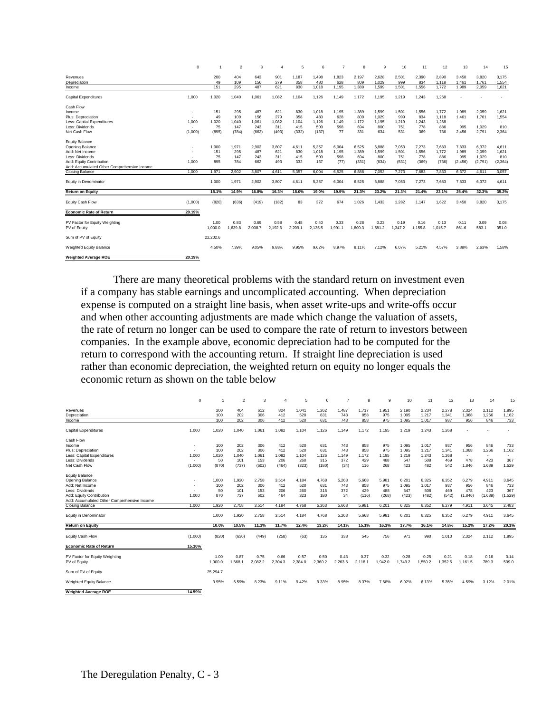|                                                                | $\mathbf 0$              |                 | $\overline{2}$  | 3               | $\overline{4}$  | 5               | 6               |                 | 8               | 9               | 10              | 11              | 12              | 13                       | 14             | 15             |
|----------------------------------------------------------------|--------------------------|-----------------|-----------------|-----------------|-----------------|-----------------|-----------------|-----------------|-----------------|-----------------|-----------------|-----------------|-----------------|--------------------------|----------------|----------------|
| Revenues                                                       |                          | 200             | 404             | 643             | 901             | 1.187           | 1.498           | 1.823           | 2,197           | 2,628           | 2,501           | 2,390           | 2.890           | 3.450                    | 3.820          | 3,175          |
| Depreciation                                                   |                          | 49              | 109             | 156             | 279             | 358             | 480             | 628             | 809             | 1.029           | 999             | 834             | 1.118           | 1.461                    | 1,761          | 1,554          |
| Income                                                         |                          | 151             | 295             | 487             | 621             | 830             | 1.018           | 1.195           | 1.389           | 1.599           | 1.501           | 1.556           | 1.772           | 1.989                    | 2.059          | 1.621          |
| <b>Capital Expenditures</b>                                    | 1.000                    | 1.020           | 1,040           | 1,061           | 1.082           | 1.104           | 1,126           | 1.149           | 1.172           | 1.195           | 1,219           | 1,243           | 1.268           |                          |                |                |
| Cash Flow                                                      |                          |                 |                 |                 |                 |                 |                 |                 |                 |                 |                 |                 |                 |                          |                |                |
| Income                                                         | <b>.</b>                 | 151             | 295             | 487             | 621             | 830             | 1.018           | 1.195           | 1.389           | 1.599           | 1.501           | 1,556           | 1.772           | 1.989                    | 2,059          | 1,621          |
| Plus: Depreciation                                             | $\overline{\phantom{a}}$ | 49              | 109             | 156             | 279             | 358             | 480             | 628             | 809             | 1.029           | 999             | 834             | 1.118           | 1.461                    | 1.761          | 1,554          |
| Less: Capital Expenditures                                     | 1.000                    | 1.020           | 1.040           | 1.061           | 1.082           | 1.104           | 1.126           | 1.149           | 1.172           | 1.195           | 1.219           | 1.243           | 1.268           | $\overline{\phantom{a}}$ | $\sim$         |                |
| Less: Dividends                                                | ٠                        | 75              | 147             | 243             | 311             | 415             | 509             | 598             | 694             | 800             | 751             | 778             | 886             | 995                      | 1,029          | 810            |
| Net Cash Flow                                                  | (1,000)                  | (895)           | (784)           | (662)           | (493)           | (332)           | (137)           | 77              | 331             | 634             | 531             | 369             | 736             | 2,456                    | 2,791          | 2,364          |
| <b>Equity Balance</b>                                          |                          | 1.000           |                 |                 | 3.807           |                 |                 |                 |                 | 6,888           | 7.053           |                 | 7.683           | 7.833                    |                |                |
| Opening Balance<br>Add: Net Income                             |                          | 151             | 1,971<br>295    | 2,902<br>487    | 621             | 4.611<br>830    | 5,357<br>1.018  | 6,004<br>1.195  | 6,525<br>1.389  | 1.599           | 1.501           | 7,273<br>1.556  | 1.772           | 1.989                    | 6,372<br>2.059 | 4,611<br>1,621 |
| Less: Dividends                                                |                          |                 | 147             | 243             |                 |                 | 509             |                 |                 |                 | 751             | 778             |                 | 995                      | 1.029          | 810            |
|                                                                |                          | 75              |                 |                 | 311             | 415             |                 | 598             | 694             | 800             |                 |                 | 886             |                          |                |                |
| Add: Equity Contribution                                       | 1.000                    | 895             | 784             | 662             | 493             | 332             | 137             | (77)            | (331)           | (634)           | (531)           | (369)           | (736)           | (2, 456)                 | (2,791)        | (2, 364)       |
| Add: Accumulated Other Comprehensive Income<br>Closing Balance | 1.000                    | 1.971           | 2.902           | 3.807           | 4.611           | 5.357           | 6.004           | 6.525           | 6.888           | 7.053           | 7.273           | 7.683           | 7.833           | 6.372                    | 4.611          | 3.057          |
|                                                                |                          |                 |                 |                 |                 |                 |                 |                 |                 |                 |                 |                 |                 |                          |                |                |
| Equity in Denominator                                          |                          | 1.000           | 1.971           | 2.902           | 3.807           | 4.611           | 5.357           | 6.004           | 6.525           | 6,888           | 7.053           | 7.273           | 7.683           | 7.833                    | 6.372          | 4.611          |
| <b>Return on Equity</b>                                        |                          | 15.1%           | 14.9%           | 16.8%           | 16.3%           | 18.0%           | 19.0%           | 19.9%           | 21.3%           | 23.2%           | 21.3%           | 21.4%           | 23.1%           | 25.4%                    | 32.3%          | 35.2%          |
| Equity Cash Flow                                               | (1,000)                  | (820)           | (636)           | (419)           | (182)           | 83              | 372             | 674             | 1,026           | 1.433           | 1,282           | 1,147           | 1.622           | 3,450                    | 3,820          | 3,175          |
| <b>Economic Rate of Return</b>                                 | 20.19%                   |                 |                 |                 |                 |                 |                 |                 |                 |                 |                 |                 |                 |                          |                |                |
| PV Factor for Equity Weighting<br>PV of Equity                 |                          | 1.00<br>1.000.0 | 0.83<br>1.639.8 | 0.69<br>2.008.7 | 0.58<br>2.192.6 | 0.48<br>2.209.1 | 0.40<br>2.135.5 | 0.33<br>1.991.1 | 0.28<br>1.800.3 | 0.23<br>1.581.2 | 0.19<br>1.347.2 | 0.16<br>1.155.8 | 0.13<br>1.015.7 | 0.11<br>861.6            | 0.09<br>583.1  | 0.08<br>351.0  |
| Sum of PV of Equity                                            |                          | 22.202.6        |                 |                 |                 |                 |                 |                 |                 |                 |                 |                 |                 |                          |                |                |
| Weighted Equity Balance                                        |                          | 4.50%           | 7.39%           | 9.05%           | 9.88%           | 9.95%           | 9.62%           | 8.97%           | 8.11%           | 7.12%           | 6.07%           | 5.21%           | 4.57%           | 3.88%                    | 2.63%          | 1.58%          |
| <b>Weighted Average ROE</b>                                    | 20.19%                   |                 |                 |                 |                 |                 |                 |                 |                 |                 |                 |                 |                 |                          |                |                |

There are many theoretical problems with the standard return on investment even if a company has stable earnings and uncomplicated accounting. When depreciation expense is computed on a straight line basis, when asset write-ups and write-offs occur and when other accounting adjustments are made which change the valuation of assets, the rate of return no longer can be used to compare the rate of return to investors between companies. In the example above, economic depreciation had to be computed for the return to correspond with the accounting return. If straight line depreciation is used rather than economic depreciation, the weighted return on equity no longer equals the economic return as shown on the table below

|                                             | $\mathbf 0$ |          | $\overline{2}$ | 3       | 4       | 5       | 6       | 7       | 8       | 9       | 10      | 11      | 12      | 13      | 14      | 15      |
|---------------------------------------------|-------------|----------|----------------|---------|---------|---------|---------|---------|---------|---------|---------|---------|---------|---------|---------|---------|
| Revenues                                    |             | 200      | 404            | 612     | 824     | 1.041   | 1.262   | 1.487   | 1.717   | 1.951   | 2,190   | 2,234   | 2,278   | 2.324   | 2.112   | 1.895   |
| Depreciation                                |             | 100      | 202            | 306     | 412     | 520     | 631     | 743     | 858     | 975     | 1.095   | 1.217   | 1.341   | 1.368   | 1.266   | 1,162   |
| Income                                      |             | 100      | 202            | 306     | 412     | 520     | 631     | 743     | 858     | 975     | 1.095   | 1,017   | 937     | 956     | 846     | 733     |
| <b>Capital Expenditures</b>                 | 1.000       | 1.020    | 1.040          | 1.061   | 1.082   | 1.104   | 1.126   | 1.149   | 1.172   | 1.195   | 1,219   | 1.243   | 1.268   |         |         |         |
| Cash Flow                                   |             |          |                |         |         |         |         |         |         |         |         |         |         |         |         |         |
| Income                                      |             | 100      | 202            | 306     | 412     | 520     | 631     | 743     | 858     | 975     | 1,095   | 1,017   | 937     | 956     | 846     | 733     |
| Plus: Depreciation                          |             | 100      | 202            | 306     | 412     | 520     | 631     | 743     | 858     | 975     | 1.095   | 1,217   | 1,341   | 1.368   | 1.266   | 1,162   |
| Less: Capital Expenditures                  | 1.000       | 1.020    | 1.040          | 1.061   | 1.082   | 1.104   | 1.126   | 1.149   | 1.172   | 1.195   | 1.219   | 1.243   | 1.268   | $\sim$  | $\sim$  |         |
| Less: Dividends                             |             | 50       | 101            | 153     | 206     | 260     | 315     | 372     | 429     | 488     | 547     | 508     | 469     | 478     | 423     | 367     |
| Net Cash Flow                               | (1,000)     | (870)    | (737)          | (602)   | (464)   | (323)   | (180)   | (34)    | 116     | 268     | 423     | 482     | 542     | 1,846   | 1,689   | 1,529   |
| <b>Equity Balance</b>                       |             |          |                |         |         |         |         |         |         |         |         |         |         |         |         |         |
| Opening Balance                             |             | 1.000    | 1.920          | 2.758   | 3,514   | 4.184   | 4.768   | 5.263   | 5.668   | 5.981   | 6.201   | 6,325   | 6.352   | 6.279   | 4.911   | 3,645   |
| Add: Net Income                             |             | 100      | 202            | 306     | 412     | 520     | 631     | 743     | 858     | 975     | 1.095   | 1.017   | 937     | 956     | 846     | 733     |
| Less: Dividends                             |             | 50       | 101            | 153     | 206     | 260     | 315     | 372     | 429     | 488     | 547     | 508     | 469     | 478     | 423     | 367     |
| Add: Equity Contribution                    | 1.000       | 870      | 737            | 602     | 464     | 323     | 180     | 34      | (116)   | (268)   | (423)   | (482)   | (542)   | (1,846) | (1,689) | (1,529) |
| Add: Accumulated Other Comprehensive Income |             |          |                |         |         |         |         |         |         |         |         |         |         |         |         |         |
| <b>Closing Balance</b>                      | 1.000       | 1,920    | 2,758          | 3,514   | 4.184   | 4,768   | 5.263   | 5.668   | 5,981   | 6,201   | 6.325   | 6,352   | 6,279   | 4,911   | 3,645   | 2,483   |
|                                             |             |          |                |         |         |         |         |         |         |         |         |         |         |         |         |         |
| Equity in Denominator                       |             | 1.000    | 1.920          | 2,758   | 3,514   | 4,184   | 4,768   | 5.263   | 5,668   | 5.981   | 6.201   | 6,325   | 6,352   | 6.279   | 4,911   | 3.645   |
| <b>Return on Equity</b>                     |             | 10.0%    | 10.5%          | 11.1%   | 11.7%   | 12.4%   | 13.2%   | 14.1%   | 15.1%   | 16.3%   | 17.7%   | 16.1%   | 14.8%   | 15.2%   | 17.2%   | 20.1%   |
| Equity Cash Flow                            | (1,000)     | (820)    | (636)          | (449)   | (258)   | (63)    | 135     | 338     | 545     | 756     | 971     | 990     | 1,010   | 2,324   | 2,112   | 1.895   |
| <b>Economic Rate of Return</b>              | 15.10%      |          |                |         |         |         |         |         |         |         |         |         |         |         |         |         |
| PV Factor for Equity Weighting              |             | 1.00     | 0.87           | 0.75    | 0.66    | 0.57    | 0.50    | 0.43    | 0.37    | 0.32    | 0.28    | 0.25    | 0.21    | 0.18    | 0.16    | 0.14    |
| PV of Equity                                |             | 1.000.0  | 1.668.1        | 2,082.2 | 2.304.3 | 2.384.0 | 2.360.2 | 2.263.6 | 2.118.1 | 1.942.0 | 1.749.2 | 1.550.2 | 1.352.5 | 1.161.5 | 789.3   | 509.0   |
| Sum of PV of Equity                         |             | 25,294.7 |                |         |         |         |         |         |         |         |         |         |         |         |         |         |
| Weighted Equity Balance                     |             | 3.95%    | 6.59%          | 8.23%   | 9.11%   | 9.42%   | 9.33%   | 8.95%   | 8.37%   | 7.68%   | 6.92%   | 6.13%   | 5.35%   | 4.59%   | 3.12%   | 2.01%   |
|                                             |             |          |                |         |         |         |         |         |         |         |         |         |         |         |         |         |
| <b>Weighted Average ROE</b>                 | 14.59%      |          |                |         |         |         |         |         |         |         |         |         |         |         |         |         |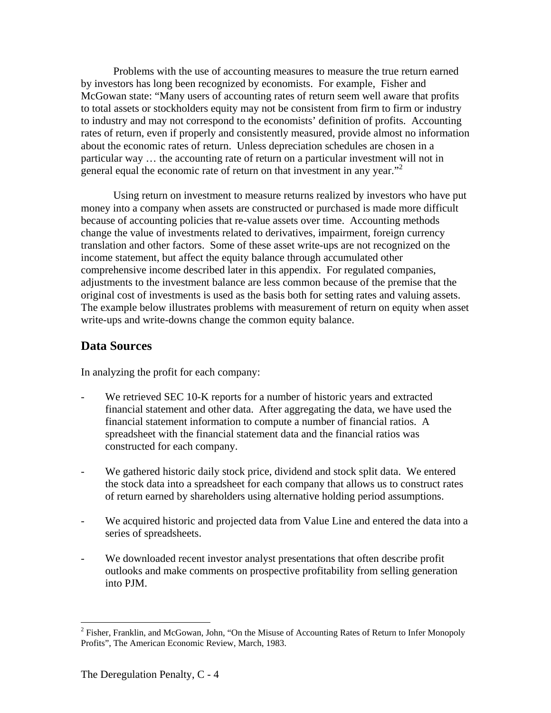Problems with the use of accounting measures to measure the true return earned by investors has long been recognized by economists. For example, Fisher and McGowan state: "Many users of accounting rates of return seem well aware that profits to total assets or stockholders equity may not be consistent from firm to firm or industry to industry and may not correspond to the economists' definition of profits. Accounting rates of return, even if properly and consistently measured, provide almost no information about the economic rates of return. Unless depreciation schedules are chosen in a particular way … the accounting rate of return on a particular investment will not in general equal the economic rate of return on that investment in any year. $^{32}$ 

Using return on investment to measure returns realized by investors who have put money into a company when assets are constructed or purchased is made more difficult because of accounting policies that re-value assets over time. Accounting methods change the value of investments related to derivatives, impairment, foreign currency translation and other factors. Some of these asset write-ups are not recognized on the income statement, but affect the equity balance through accumulated other comprehensive income described later in this appendix. For regulated companies, adjustments to the investment balance are less common because of the premise that the original cost of investments is used as the basis both for setting rates and valuing assets. The example below illustrates problems with measurement of return on equity when asset write-ups and write-downs change the common equity balance.

## **Data Sources**

In analyzing the profit for each company:

- We retrieved SEC 10-K reports for a number of historic years and extracted financial statement and other data. After aggregating the data, we have used the financial statement information to compute a number of financial ratios. A spreadsheet with the financial statement data and the financial ratios was constructed for each company.
- We gathered historic daily stock price, dividend and stock split data. We entered the stock data into a spreadsheet for each company that allows us to construct rates of return earned by shareholders using alternative holding period assumptions.
- We acquired historic and projected data from Value Line and entered the data into a series of spreadsheets.
- We downloaded recent investor analyst presentations that often describe profit outlooks and make comments on prospective profitability from selling generation into PJM.

<sup>&</sup>lt;sup>2</sup> Fisher, Franklin, and McGowan, John, "On the Misuse of Accounting Rates of Return to Infer Monopoly Profits", The American Economic Review, March, 1983.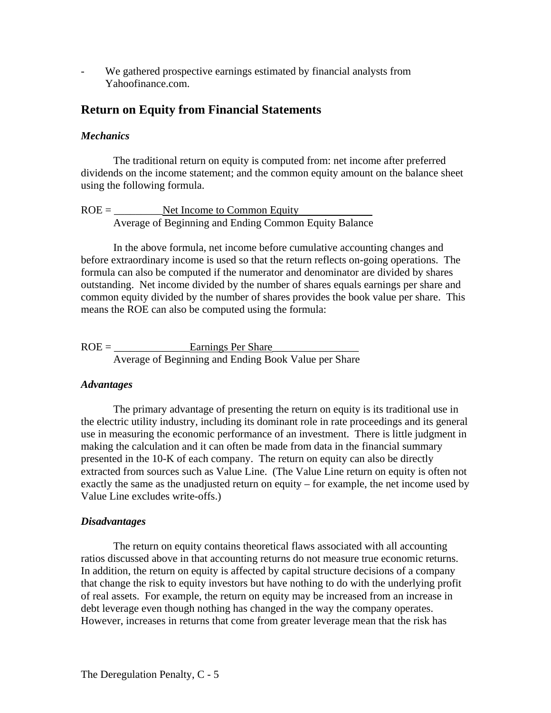We gathered prospective earnings estimated by financial analysts from Yahoofinance.com.

## **Return on Equity from Financial Statements**

#### *Mechanics*

The traditional return on equity is computed from: net income after preferred dividends on the income statement; and the common equity amount on the balance sheet using the following formula.

$$
ROE = \underline{\text{Net Income to Common Equity}}{\text{Average of Beginning and Ending Common Equity Balance}}
$$

In the above formula, net income before cumulative accounting changes and before extraordinary income is used so that the return reflects on-going operations. The formula can also be computed if the numerator and denominator are divided by shares outstanding. Net income divided by the number of shares equals earnings per share and common equity divided by the number of shares provides the book value per share. This means the ROE can also be computed using the formula:

 $ROE = \underline{\text{Earnings Per Share}}$ Average of Beginning and Ending Book Value per Share

#### *Advantages*

The primary advantage of presenting the return on equity is its traditional use in the electric utility industry, including its dominant role in rate proceedings and its general use in measuring the economic performance of an investment. There is little judgment in making the calculation and it can often be made from data in the financial summary presented in the 10-K of each company. The return on equity can also be directly extracted from sources such as Value Line. (The Value Line return on equity is often not exactly the same as the unadjusted return on equity – for example, the net income used by Value Line excludes write-offs.)

#### *Disadvantages*

The return on equity contains theoretical flaws associated with all accounting ratios discussed above in that accounting returns do not measure true economic returns. In addition, the return on equity is affected by capital structure decisions of a company that change the risk to equity investors but have nothing to do with the underlying profit of real assets. For example, the return on equity may be increased from an increase in debt leverage even though nothing has changed in the way the company operates. However, increases in returns that come from greater leverage mean that the risk has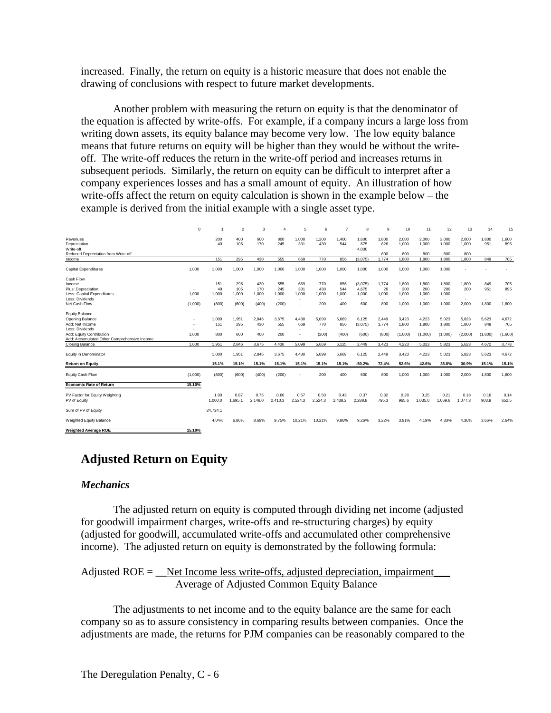increased. Finally, the return on equity is a historic measure that does not enable the drawing of conclusions with respect to future market developments.

Another problem with measuring the return on equity is that the denominator of the equation is affected by write-offs. For example, if a company incurs a large loss from writing down assets, its equity balance may become very low. The low equity balance means that future returns on equity will be higher than they would be without the writeoff. The write-off reduces the return in the write-off period and increases returns in subsequent periods. Similarly, the return on equity can be difficult to interpret after a company experiences losses and has a small amount of equity. An illustration of how write-offs affect the return on equity calculation is shown in the example below – the example is derived from the initial example with a single asset type.

|                                                                         | $\Omega$                 |                          | $\mathcal{P}$   | 3               | 4               | 5               | 6               |                          | 8                        | 9                        | 10             | 11              | 12              | 13                       | 14            | 15            |
|-------------------------------------------------------------------------|--------------------------|--------------------------|-----------------|-----------------|-----------------|-----------------|-----------------|--------------------------|--------------------------|--------------------------|----------------|-----------------|-----------------|--------------------------|---------------|---------------|
| Revenues<br>Depreciation<br>Write-off                                   |                          | 200<br>49                | 400<br>105      | 600<br>170      | 800<br>245      | 1.000<br>331    | 1.200<br>430    | 1.400<br>544             | 1.600<br>675<br>4,000    | 1.800<br>826             | 2.000<br>1.000 | 2.000<br>1,000  | 2,000<br>1,000  | 2.000<br>1.000           | 1.800<br>951  | 1,600<br>895  |
| Reduced Depreciation from Write-off<br>Income                           |                          | 151                      | 295             | 430             | 555             | 669             | 770             | 856                      | (3.075)                  | 800<br>1.774             | 800<br>1.800   | 800<br>1.800    | 800<br>1.800    | 800<br>1.800             | 849           | 705           |
|                                                                         |                          |                          |                 |                 |                 |                 |                 |                          |                          |                          |                |                 |                 |                          |               |               |
| <b>Capital Expenditures</b>                                             | 1,000                    | 1,000                    | 1,000           | 1,000           | 1,000           | 1,000           | 1,000           | 1,000                    | 1,000                    | 1,000                    | 1,000          | 1,000           | 1,000           |                          |               |               |
| Cash Flow                                                               |                          |                          |                 |                 |                 |                 |                 |                          |                          |                          |                |                 |                 |                          |               |               |
| Income                                                                  | $\overline{\phantom{a}}$ | 151                      | 295             | 430             | 555             | 669             | 770             | 856                      | (3,075)                  | 1.774                    | 1.800          | 1,800           | 1.800           | 1.800                    | 849           | 705           |
| Plus: Depreciation                                                      | $\sim$                   | 49                       | 105             | 170             | 245             | 331             | 430             | 544                      | 4,675                    | 26                       | 200            | 200             | 200             | 200                      | 951           | 895           |
| Less: Capital Expenditures                                              | 1,000                    | 1,000                    | 1,000           | 1,000           | 1,000           | 1,000           | 1,000           | 1,000                    | 1,000                    | 1,000                    | 1,000          | 1,000           | 1,000           |                          |               |               |
| Less: Dividends                                                         |                          | $\sim$                   | ÷.              | $\sim$          | $\sim$          | $\sim$          | $\sim$          | $\overline{\phantom{a}}$ | $\overline{\phantom{a}}$ | ٠                        | $\sim$         | $\sim$          | ٠               | $\sim$                   | $\sim$        | $\sim$        |
| Net Cash Flow                                                           | (1,000)                  | (800)                    | (600)           | (400)           | (200)           |                 | 200             | 400                      | 600                      | 800                      | 1,000          | 1,000           | 1,000           | 2.000                    | 1,800         | 1,600         |
| <b>Equity Balance</b>                                                   |                          |                          |                 |                 |                 |                 |                 |                          |                          |                          |                |                 |                 |                          |               |               |
| Opening Balance                                                         |                          | 1.000                    | .951            | 2,846           | 3.675           | 4.430           | 5.099           | 5.669                    | 6,125                    | 2.449                    | 3,423          | 4,223           | 5.023           | 5.823                    | 5.623         | 4,672         |
| Add: Net Income                                                         |                          | 151                      | 295             | 430             | 555             | 669             | 770             | 856                      | (3,075)                  | 1,774                    | 1,800          | 1,800           | 1,800           | 1,800                    | 849           | 705           |
| Less: Dividends                                                         |                          | $\overline{\phantom{a}}$ | ٠               | ٠               |                 |                 |                 | ٠                        | $\overline{\phantom{a}}$ | $\overline{\phantom{a}}$ |                | $\sim$          | ٠               | $\overline{\phantom{a}}$ | $\sim$        |               |
| Add: Equity Contribution<br>Add: Accumulated Other Comprehensive Income | 1.000                    | 800                      | 600             | 400             | 200             | <b>.</b>        | (200)           | (400)                    | (600)                    | (800)                    | (1,000)        | (1,000)         | (1,000)         | (2,000)                  | (1,800)       | (1,600)       |
| <b>Closing Balance</b>                                                  | 1.000                    | 1.951                    | 2.846           | 3.675           | 4.430           | 5.099           | 5.669           | 6,125                    | 2.449                    | 3.423                    | 4.223          | 5.023           | 5,823           | 5,623                    | 4.672         | 3,778         |
| Equity in Denominator                                                   |                          | 1.000                    | 1,951           | 2,846           | 3.675           | 4.430           | 5,099           | 5,669                    | 6,125                    | 2.449                    | 3,423          | 4,223           | 5,023           | 5.823                    | 5,623         | 4,672         |
| <b>Return on Equity</b>                                                 |                          | 15.1%                    | 15.1%           | 15.1%           | 15.1%           | 15.1%           | 15.1%           | 15.1%                    | $-50.2%$                 | 72.4%                    | 52.6%          | 42.6%           | 35.8%           | 30.9%                    | 15.1%         | 15.1%         |
| Equity Cash Flow                                                        | (1,000)                  | (800)                    | (600)           | (400)           | (200)           |                 | 200             | 400                      | 600                      | 800                      | 1,000          | 1,000           | 1,000           | 2,000                    | 1,800         | 1,600         |
| <b>Economic Rate of Return</b>                                          | 15.10%                   |                          |                 |                 |                 |                 |                 |                          |                          |                          |                |                 |                 |                          |               |               |
|                                                                         |                          |                          |                 |                 |                 |                 |                 |                          |                          |                          |                |                 |                 |                          |               |               |
| PV Factor for Equity Weighting<br>PV of Equity                          |                          | 1.00<br>1.000.0          | 0.87<br>1.695.1 | 0.75<br>2,148.0 | 0.66<br>2.410.3 | 0.57<br>2,524.3 | 0.50<br>2,524.3 | 0.43<br>2,438.2          | 0.37<br>2,288.8          | 0.32<br>795.3            | 0.28<br>965.6  | 0.25<br>1,035.0 | 0.21<br>1,069.6 | 0.18<br>1,077.3          | 0.16<br>903.8 | 0.14<br>652.5 |
|                                                                         |                          |                          |                 |                 |                 |                 |                 |                          |                          |                          |                |                 |                 |                          |               |               |
| Sum of PV of Equity                                                     |                          | 24.724.1                 |                 |                 |                 |                 |                 |                          |                          |                          |                |                 |                 |                          |               |               |
| Weighted Equity Balance                                                 |                          | 4.04%                    | 6.86%           | 8.69%           | 9.75%           | 10.21%          | 10.21%          | 9.86%                    | 9.26%                    | 3.22%                    | 3.91%          | 4.19%           | 4.33%           | 4.36%                    | 3.66%         | 2.64%         |
| <b>Weighted Average ROE</b>                                             | 15.10%                   |                          |                 |                 |                 |                 |                 |                          |                          |                          |                |                 |                 |                          |               |               |

## **Adjusted Return on Equity**

#### *Mechanics*

The adjusted return on equity is computed through dividing net income (adjusted for goodwill impairment charges, write-offs and re-structuring charges) by equity (adjusted for goodwill, accumulated write-offs and accumulated other comprehensive income). The adjusted return on equity is demonstrated by the following formula:

Adjusted  $ROE =$  Net Income less write-offs, adjusted depreciation, impairment Average of Adjusted Common Equity Balance

The adjustments to net income and to the equity balance are the same for each company so as to assure consistency in comparing results between companies. Once the adjustments are made, the returns for PJM companies can be reasonably compared to the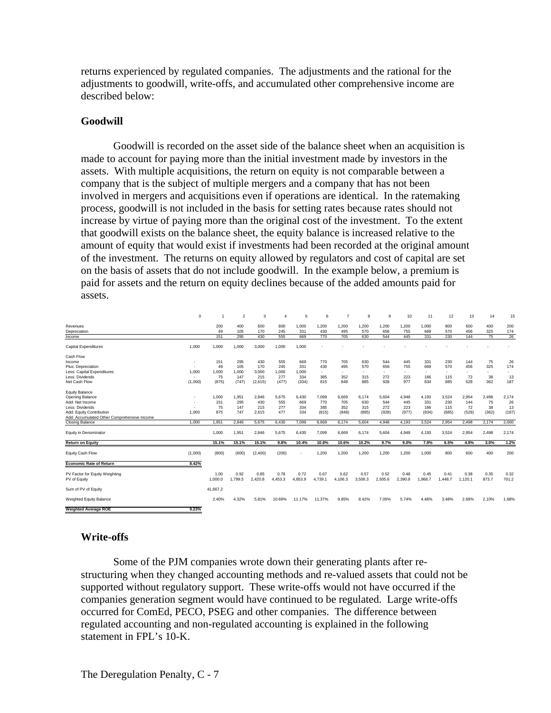returns experienced by regulated companies. The adjustments and the rational for the adjustments to goodwill, write-offs, and accumulated other comprehensive income are described below:

#### **Goodwill**

Goodwill is recorded on the asset side of the balance sheet when an acquisition is made to account for paying more than the initial investment made by investors in the assets. With multiple acquisitions, the return on equity is not comparable between a company that is the subject of multiple mergers and a company that has not been involved in mergers and acquisitions even if operations are identical. In the ratemaking process, goodwill is not included in the basis for setting rates because rates should not increase by virtue of paying more than the original cost of the investment. To the extent that goodwill exists on the balance sheet, the equity balance is increased relative to the amount of equity that would exist if investments had been recorded at the original amount of the investment. The returns on equity allowed by regulators and cost of capital are set on the basis of assets that do not include goodwill. In the example below, a premium is paid for assets and the return on equity declines because of the added amounts paid for assets.

|                                             | $\mathbf 0$ |          | $\mathfrak{p}$ | 3       | 4       | 5       | 6                        | 7       | 8                        | 9       | 10      | 11      | 12      | 13      | 14     | 15    |
|---------------------------------------------|-------------|----------|----------------|---------|---------|---------|--------------------------|---------|--------------------------|---------|---------|---------|---------|---------|--------|-------|
| Revenues                                    |             | 200      | 400            | 600     | 800     | 1.000   | 1.200                    | 1.200   | 1.200                    | 1.200   | 1.200   | 1.000   | 800     | 600     | 400    | 200   |
| Depreciation                                |             | 49       | 105            | 170     | 245     | 331     | 430                      | 495     | 570                      | 656     | 755     | 669     | 570     | 456     | 325    | 174   |
| Income                                      |             | 151      | 295            | 430     | 555     | 669     | 770                      | 705     | 630                      | 544     | 445     | 331     | 230     | 144     | 75     | 26    |
| <b>Capital Expenditures</b>                 | 1.000       | 1,000    | 1,000          | 3,000   | 1.000   | 1.000   |                          |         |                          |         |         |         |         |         |        |       |
| Cash Flow                                   |             |          |                |         |         |         |                          |         |                          |         |         |         |         |         |        |       |
| Income                                      |             | 151      | 295            | 430     | 555     | 669     | 770                      | 705     | 630                      | 544     | 445     | 331     | 230     | 144     | 75     | 26    |
| Plus: Depreciation                          |             | 49       | 105            | 170     | 245     | 331     | 430                      | 495     | 570                      | 656     | 755     | 669     | 570     | 456     | 325    | 174   |
| Less: Capital Expenditures                  | 1.000       | 1.000    | 1.000          | 3,000   | 1,000   | 1.000   | $\overline{\phantom{a}}$ | $\sim$  | $\overline{\phantom{a}}$ | $\sim$  | $\sim$  | $\sim$  | ٠       | ٠       | $\sim$ | ٠     |
| Less: Dividends                             | $\sim$      | 75       | 147            | 215     | 277     | 334     | 385                      | 352     | 315                      | 272     | 223     | 166     | 115     | 72      | 38     | 13    |
| Net Cash Flow                               | (1,000)     | (875)    | (747)          | (2,615) | (477)   | (334)   | 815                      | 848     | 885                      | 928     | 977     | 834     | 685     | 528     | 362    | 187   |
| <b>Equity Balance</b>                       |             |          |                |         |         |         |                          |         |                          |         |         |         |         |         |        |       |
| Opening Balance                             |             | 1,000    | 1,951          | 2,846   | 5,675   | 6,430   | 7,099                    | 6,669   | 6,174                    | 5,604   | 4,948   | 4,193   | 3,524   | 2,954   | 2,498  | 2,174 |
| Add: Net Income                             |             | 151      | 295            | 430     | 555     | 669     | 770                      | 705     | 630                      | 544     | 445     | 331     | 230     | 144     | 75     | 26    |
| Less: Dividends                             |             | 75       | 147            | 215     | 277     | 334     | 385                      | 352     | 315                      | 272     | 223     | 166     | 115     | 72      | 38     | 13    |
| Add: Equity Contribution                    | 1.000       | 875      | 747            | 2.615   | 477     | 334     | (815)                    | (848)   | (885)                    | (928)   | (977)   | (834)   | (685)   | (528)   | (362)  | (187) |
| Add: Accumulated Other Comprehensive Income |             |          |                |         |         |         |                          |         |                          |         |         |         |         |         |        |       |
| <b>Closing Balance</b>                      | 1.000       | 1.951    | 2.846          | 5.675   | 6.430   | 7.099   | 6.669                    | 6.174   | 5,604                    | 4.948   | 4.193   | 3,524   | 2,954   | 2.498   | 2,174  | 2,000 |
| Equity in Denominator                       |             | 1.000    | 1,951          | 2,846   | 5,675   | 6,430   | 7,099                    | 6,669   | 6,174                    | 5,604   | 4,948   | 4,193   | 3,524   | 2,954   | 2,498  | 2,174 |
| <b>Return on Equity</b>                     |             | 15.1%    | 15.1%          | 15.1%   | 9.8%    | 10.4%   | 10.8%                    | 10.6%   | 10.2%                    | 9.7%    | 9.0%    | 7.9%    | 6.5%    | 4.9%    | 3.0%   | 1.2%  |
| Equity Cash Flow                            | (1,000)     | (800)    | (600)          | (2,400) | (200)   |         | 1,200                    | 1,200   | 1,200                    | 1.200   | 1,200   | 1,000   | 800     | 600     | 400    | 200   |
| <b>Economic Rate of Return</b>              | 8.42%       |          |                |         |         |         |                          |         |                          |         |         |         |         |         |        |       |
| PV Factor for Equity Weighting              |             | 1.00     | 0.92           | 0.85    | 0.78    | 0.72    | 0.67                     | 0.62    | 0.57                     | 0.52    | 0.48    | 0.45    | 0.41    | 0.38    | 0.35   | 0.32  |
| PV of Equity                                |             | 1.000.0  | 1.799.5        | 2,420.8 | 4.453.3 | 4.653.9 | 4,739.1                  | 4.106.3 | 3.506.3                  | 2,935.6 | 2,390.8 | 1.868.7 | 1.448.7 | 1.120.1 | 873.7  | 701.2 |
| Sum of PV of Equity                         |             | 41.667.2 |                |         |         |         |                          |         |                          |         |         |         |         |         |        |       |
| Weighted Equity Balance                     |             | 2.40%    | 4.32%          | 5.81%   | 10.69%  | 11.17%  | 11.37%                   | 9.85%   | 8.42%                    | 7.05%   | 5.74%   | 4.48%   | 3.48%   | 2.69%   | 2.10%  | 1.68% |
| <b>Weighted Average ROE</b>                 | 9.23%       |          |                |         |         |         |                          |         |                          |         |         |         |         |         |        |       |

## **Write-offs**

Some of the PJM companies wrote down their generating plants after restructuring when they changed accounting methods and re-valued assets that could not be supported without regulatory support. These write-offs would not have occurred if the companies generation segment would have continued to be regulated. Large write-offs occurred for ComEd, PECO, PSEG and other companies. The difference between regulated accounting and non-regulated accounting is explained in the following statement in FPL's 10-K.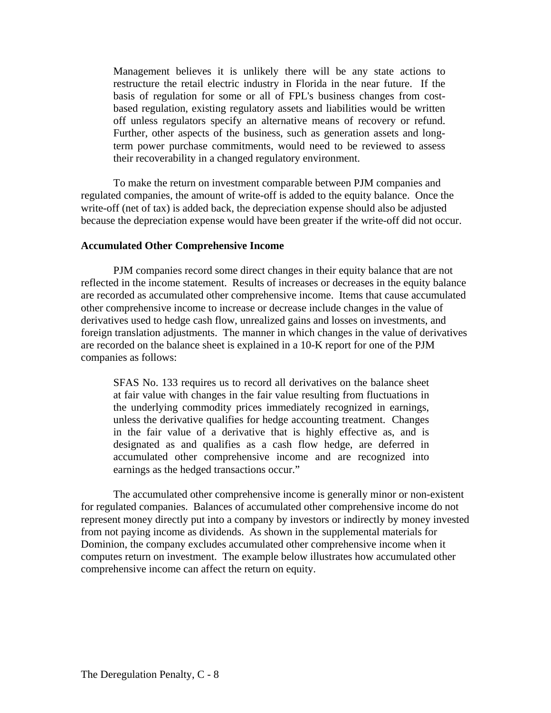Management believes it is unlikely there will be any state actions to restructure the retail electric industry in Florida in the near future. If the basis of regulation for some or all of FPL's business changes from costbased regulation, existing regulatory assets and liabilities would be written off unless regulators specify an alternative means of recovery or refund. Further, other aspects of the business, such as generation assets and longterm power purchase commitments, would need to be reviewed to assess their recoverability in a changed regulatory environment.

To make the return on investment comparable between PJM companies and regulated companies, the amount of write-off is added to the equity balance. Once the write-off (net of tax) is added back, the depreciation expense should also be adjusted because the depreciation expense would have been greater if the write-off did not occur.

#### **Accumulated Other Comprehensive Income**

PJM companies record some direct changes in their equity balance that are not reflected in the income statement. Results of increases or decreases in the equity balance are recorded as accumulated other comprehensive income. Items that cause accumulated other comprehensive income to increase or decrease include changes in the value of derivatives used to hedge cash flow, unrealized gains and losses on investments, and foreign translation adjustments. The manner in which changes in the value of derivatives are recorded on the balance sheet is explained in a 10-K report for one of the PJM companies as follows:

SFAS No. 133 requires us to record all derivatives on the balance sheet at fair value with changes in the fair value resulting from fluctuations in the underlying commodity prices immediately recognized in earnings, unless the derivative qualifies for hedge accounting treatment. Changes in the fair value of a derivative that is highly effective as, and is designated as and qualifies as a cash flow hedge, are deferred in accumulated other comprehensive income and are recognized into earnings as the hedged transactions occur."

The accumulated other comprehensive income is generally minor or non-existent for regulated companies. Balances of accumulated other comprehensive income do not represent money directly put into a company by investors or indirectly by money invested from not paying income as dividends. As shown in the supplemental materials for Dominion, the company excludes accumulated other comprehensive income when it computes return on investment. The example below illustrates how accumulated other comprehensive income can affect the return on equity.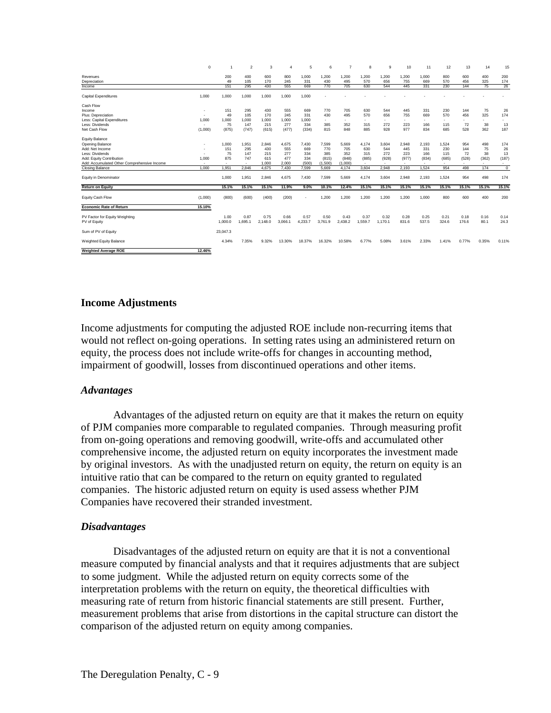|                                                | $\mathbf 0$              |                          | $\overline{2}$           | 3               | $\overline{4}$  | 5               | 6               | 7               | 8               | 9               | 10                       | 11            | 12            | 13            | 14           | 15             |
|------------------------------------------------|--------------------------|--------------------------|--------------------------|-----------------|-----------------|-----------------|-----------------|-----------------|-----------------|-----------------|--------------------------|---------------|---------------|---------------|--------------|----------------|
| Revenues                                       |                          | 200                      | 400                      | 600             | 800             | 1.000           | 1.200           | 1.200           | 1.200           | 1.200           | 1.200                    | 1.000         | 800           | 600           | 400          | 200            |
| Depreciation                                   |                          | 49                       | 105                      | 170             | 245             | 331             | 430             | 495             | 570             | 656             | 755                      | 669           | 570           | 456           | 325          | 174            |
| Income                                         |                          | 151                      | 295                      | 430             | 555             | 669             | 770             | 705             | 630             | 544             | 445                      | 331           | 230           | 144           | 75           | 26             |
| <b>Capital Expenditures</b>                    | 1,000                    | 1.000                    | 1.000                    | 1,000           | 1.000           | 1.000           |                 |                 |                 |                 |                          |               |               |               |              |                |
| Cash Flow                                      |                          |                          |                          |                 |                 |                 |                 |                 |                 |                 |                          |               |               |               |              |                |
| Income                                         | $\overline{\phantom{a}}$ | 151                      | 295                      | 430             | 555             | 669             | 770             | 705             | 630             | 544             | 445                      | 331           | 230           | 144           | 75           | 26             |
| Plus: Depreciation                             | ٠                        | 49                       | 105                      | 170             | 245             | 331             | 430             | 495             | 570             | 656             | 755                      | 669           | 570           | 456           | 325          | 174            |
| Less: Capital Expenditures                     | 1.000                    | 1.000                    | 1.000                    | 1,000           | 1.000           | 1.000           | ٠               | $\sim$          | ٠               | ٠               | ۰                        | ÷.            | $\sim$        | ٠             | $\sim$       | ٠              |
| Less: Dividends                                | $\overline{\phantom{a}}$ | 75                       | 147                      | 215             | 277             | 334             | 385             | 352             | 315             | 272             | 223                      | 166           | 115           | 72            | 38           | 13             |
| Net Cash Flow                                  | (1,000)                  | (875)                    | (747)                    | (615)           | (477)           | (334)           | 815             | 848             | 885             | 928             | 977                      | 834           | 685           | 528           | 362          | 187            |
| <b>Equity Balance</b>                          |                          |                          |                          |                 |                 |                 |                 |                 |                 |                 |                          |               |               |               |              |                |
| Opening Balance                                |                          | 1.000                    | 1.951                    | 2,846           | 4.675           | 7,430           | 7,599           | 5.669           | 4.174           | 3,604           | 2,948                    | 2,193         | 1.524         | 954           | 498          | 174            |
| Add: Net Income                                | $\overline{\phantom{a}}$ | 151                      | 295                      | 430             | 555             | 669             | 770             | 705             | 630             | 544             | 445                      | 331           | 230           | 144           | 75           | 26             |
| Less: Dividends                                | $\overline{\phantom{a}}$ | 75                       | 147                      | 215             | 277             | 334             | 385             | 352             | 315             | 272             | 223                      | 166           | 115           | 72            | 38           | 13             |
| Add: Equity Contribution                       | 1,000                    | 875                      | 747                      | 615             | 477             | 334             | (815)           | (848)           | (885)           | (928)           | (977)                    | (834)         | (685)         | (528)         | (362)        | (187)          |
| Add: Accumulated Other Comprehensive Income    | $\overline{\phantom{a}}$ | $\overline{\phantom{a}}$ | $\overline{\phantom{a}}$ | 1,000           | 2.000           | (500)           | (1,500)         | (1.000)         | $\blacksquare$  | ٠               | $\overline{\phantom{a}}$ |               | $\sim$        | ٠             | $\sim$       | ۰              |
| Closing Balance                                | 1.000                    | 1.951                    | 2.846                    | 4.675           | 7,430           | 7.599           | 5.669           | 4,174           | 3,604           | 2.948           | 2,193                    | 1,524         | 954           | 498           | 174          | $\overline{0}$ |
| Equity in Denominator                          |                          | 1.000                    | 1.951                    | 2,846           | 4.675           | 7.430           | 7.599           | 5.669           | 4.174           | 3.604           | 2,948                    | 2,193         | 1,524         | 954           | 498          | 174            |
| <b>Return on Equity</b>                        |                          | 15.1%                    | 15.1%                    | 15.1%           | 11.9%           | 9.0%            | 10.1%           | 12.4%           | 15.1%           | 15.1%           | 15.1%                    | 15.1%         | 15.1%         | 15.1%         | 15.1%        | 15.1%          |
| Equity Cash Flow                               | (1,000)                  | (800)                    | (600)                    | (400)           | (200)           |                 | 1.200           | 1.200           | 1.200           | 1.200           | 1.200                    | 1.000         | 800           | 600           | 400          | 200            |
| <b>Economic Rate of Return</b>                 | 15.10%                   |                          |                          |                 |                 |                 |                 |                 |                 |                 |                          |               |               |               |              |                |
| PV Factor for Equity Weighting<br>PV of Equity |                          | 1.00<br>1.000.0          | 0.87<br>1.695.1          | 0.75<br>2.148.0 | 0.66<br>3.066.1 | 0.57<br>4.233.7 | 0.50<br>3.761.9 | 0.43<br>2.438.2 | 0.37<br>1.559.7 | 0.32<br>1.170.1 | 0.28<br>831.6            | 0.25<br>537.5 | 0.21<br>324.6 | 0.18<br>176.6 | 0.16<br>80.1 | 0.14<br>24.3   |
| Sum of PV of Equity                            |                          | 23,047.3                 |                          |                 |                 |                 |                 |                 |                 |                 |                          |               |               |               |              |                |
| Weighted Equity Balance                        |                          | 4.34%                    | 7.35%                    | 9.32%           | 13.30%          | 18.37%          | 16.32%          | 10.58%          | 6.77%           | 5.08%           | 3.61%                    | 2.33%         | 1.41%         | 0.77%         | 0.35%        | 0.11%          |
| <b>Weighted Average ROE</b>                    | 12.46%                   |                          |                          |                 |                 |                 |                 |                 |                 |                 |                          |               |               |               |              |                |

#### **Income Adjustments**

Income adjustments for computing the adjusted ROE include non-recurring items that would not reflect on-going operations. In setting rates using an administered return on equity, the process does not include write-offs for changes in accounting method, impairment of goodwill, losses from discontinued operations and other items.

#### *Advantages*

Advantages of the adjusted return on equity are that it makes the return on equity of PJM companies more comparable to regulated companies. Through measuring profit from on-going operations and removing goodwill, write-offs and accumulated other comprehensive income, the adjusted return on equity incorporates the investment made by original investors. As with the unadjusted return on equity, the return on equity is an intuitive ratio that can be compared to the return on equity granted to regulated companies. The historic adjusted return on equity is used assess whether PJM Companies have recovered their stranded investment.

#### *Disadvantages*

Disadvantages of the adjusted return on equity are that it is not a conventional measure computed by financial analysts and that it requires adjustments that are subject to some judgment. While the adjusted return on equity corrects some of the interpretation problems with the return on equity, the theoretical difficulties with measuring rate of return from historic financial statements are still present. Further, measurement problems that arise from distortions in the capital structure can distort the comparison of the adjusted return on equity among companies.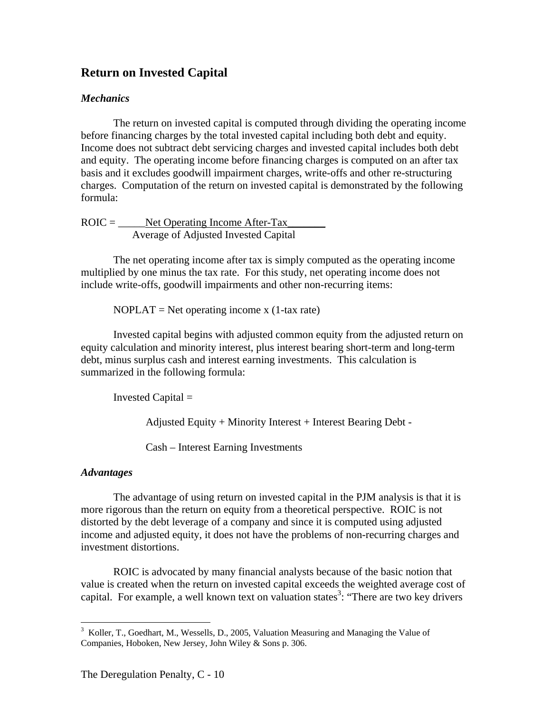## **Return on Invested Capital**

#### *Mechanics*

The return on invested capital is computed through dividing the operating income before financing charges by the total invested capital including both debt and equity. Income does not subtract debt servicing charges and invested capital includes both debt and equity. The operating income before financing charges is computed on an after tax basis and it excludes goodwill impairment charges, write-offs and other re-structuring charges. Computation of the return on invested capital is demonstrated by the following formula:

 $ROIC =$  Net Operating Income After-Tax Average of Adjusted Invested Capital

The net operating income after tax is simply computed as the operating income multiplied by one minus the tax rate. For this study, net operating income does not include write-offs, goodwill impairments and other non-recurring items:

 $NOPLAT = Net operating income x (1-tax rate)$ 

Invested capital begins with adjusted common equity from the adjusted return on equity calculation and minority interest, plus interest bearing short-term and long-term debt, minus surplus cash and interest earning investments. This calculation is summarized in the following formula:

Invested Capital =

Adjusted Equity + Minority Interest + Interest Bearing Debt -

Cash – Interest Earning Investments

#### *Advantages*

 $\overline{a}$ 

The advantage of using return on invested capital in the PJM analysis is that it is more rigorous than the return on equity from a theoretical perspective. ROIC is not distorted by the debt leverage of a company and since it is computed using adjusted income and adjusted equity, it does not have the problems of non-recurring charges and investment distortions.

ROIC is advocated by many financial analysts because of the basic notion that value is created when the return on invested capital exceeds the weighted average cost of capital. For example, a well known text on valuation states<sup>3</sup>: "There are two key drivers

<sup>&</sup>lt;sup>3</sup> Koller, T., Goedhart, M., Wessells, D., 2005, Valuation Measuring and Managing the Value of Companies, Hoboken, New Jersey, John Wiley & Sons p. 306.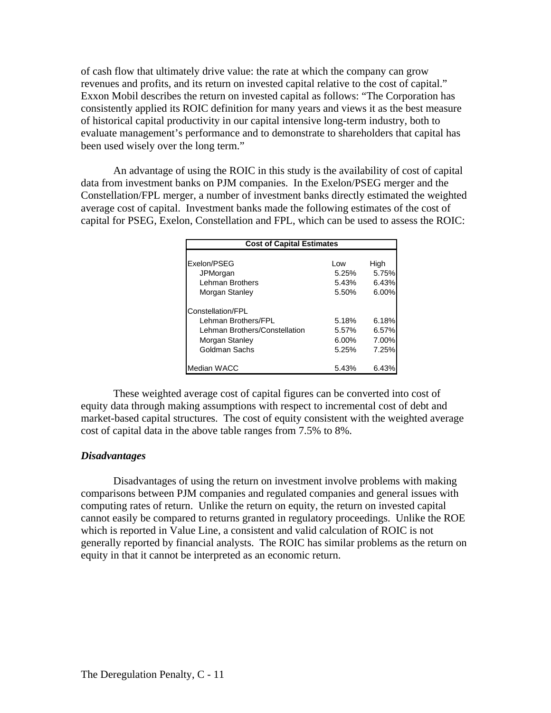of cash flow that ultimately drive value: the rate at which the company can grow revenues and profits, and its return on invested capital relative to the cost of capital." Exxon Mobil describes the return on invested capital as follows: "The Corporation has consistently applied its ROIC definition for many years and views it as the best measure of historical capital productivity in our capital intensive long-term industry, both to evaluate management's performance and to demonstrate to shareholders that capital has been used wisely over the long term."

An advantage of using the ROIC in this study is the availability of cost of capital data from investment banks on PJM companies. In the Exelon/PSEG merger and the Constellation/FPL merger, a number of investment banks directly estimated the weighted average cost of capital. Investment banks made the following estimates of the cost of capital for PSEG, Exelon, Constellation and FPL, which can be used to assess the ROIC:

| <b>Cost of Capital Estimates</b>                                                                             |                                     |                                  |
|--------------------------------------------------------------------------------------------------------------|-------------------------------------|----------------------------------|
| Exelon/PSEG<br><b>JPMorgan</b><br>Lehman Brothers<br>Morgan Stanley                                          | Low<br>5.25%<br>5.43%<br>5.50%      | High<br>5.75%<br>6.43%<br>6.00%  |
| Constellation/FPL<br>Lehman Brothers/FPL<br>Lehman Brothers/Constellation<br>Morgan Stanley<br>Goldman Sachs | 5.18%<br>5.57%<br>$6.00\%$<br>5.25% | 6.18%<br>6.57%<br>7.00%<br>7.25% |
| Median WACC                                                                                                  | 5.43%                               | 6.43%                            |

 These weighted average cost of capital figures can be converted into cost of equity data through making assumptions with respect to incremental cost of debt and market-based capital structures. The cost of equity consistent with the weighted average cost of capital data in the above table ranges from 7.5% to 8%.

#### *Disadvantages*

Disadvantages of using the return on investment involve problems with making comparisons between PJM companies and regulated companies and general issues with computing rates of return. Unlike the return on equity, the return on invested capital cannot easily be compared to returns granted in regulatory proceedings. Unlike the ROE which is reported in Value Line, a consistent and valid calculation of ROIC is not generally reported by financial analysts. The ROIC has similar problems as the return on equity in that it cannot be interpreted as an economic return.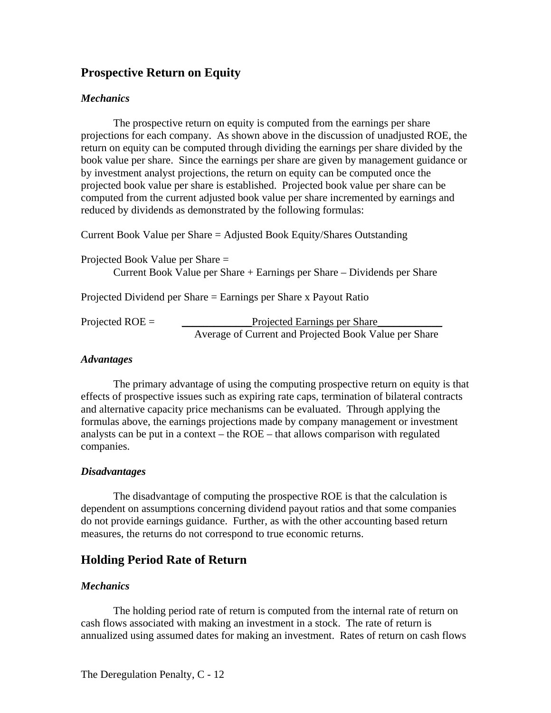## **Prospective Return on Equity**

### *Mechanics*

The prospective return on equity is computed from the earnings per share projections for each company. As shown above in the discussion of unadjusted ROE, the return on equity can be computed through dividing the earnings per share divided by the book value per share. Since the earnings per share are given by management guidance or by investment analyst projections, the return on equity can be computed once the projected book value per share is established. Projected book value per share can be computed from the current adjusted book value per share incremented by earnings and reduced by dividends as demonstrated by the following formulas:

Current Book Value per Share = Adjusted Book Equity/Shares Outstanding Projected Book Value per Share = Current Book Value per Share + Earnings per Share – Dividends per Share Projected Dividend per Share = Earnings per Share x Payout Ratio Projected ROE = \_\_\_\_\_\_\_\_\_\_\_\_\_Projected Earnings per Share\_\_\_\_\_\_\_\_\_\_\_\_

# Average of Current and Projected Book Value per Share

#### *Advantages*

The primary advantage of using the computing prospective return on equity is that effects of prospective issues such as expiring rate caps, termination of bilateral contracts and alternative capacity price mechanisms can be evaluated. Through applying the formulas above, the earnings projections made by company management or investment analysts can be put in a context – the ROE – that allows comparison with regulated companies.

## *Disadvantages*

The disadvantage of computing the prospective ROE is that the calculation is dependent on assumptions concerning dividend payout ratios and that some companies do not provide earnings guidance. Further, as with the other accounting based return measures, the returns do not correspond to true economic returns.

## **Holding Period Rate of Return**

## *Mechanics*

The holding period rate of return is computed from the internal rate of return on cash flows associated with making an investment in a stock. The rate of return is annualized using assumed dates for making an investment. Rates of return on cash flows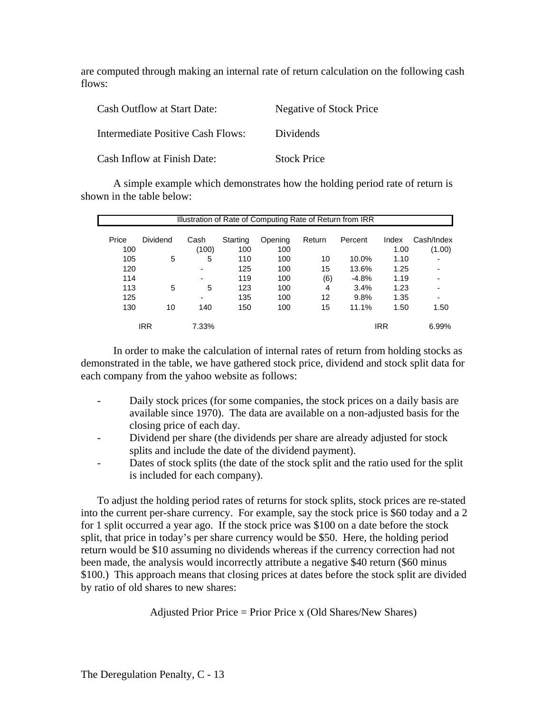are computed through making an internal rate of return calculation on the following cash flows:

| <b>Cash Outflow at Start Date:</b>       | Negative of Stock Price |
|------------------------------------------|-------------------------|
| <b>Intermediate Positive Cash Flows:</b> | Dividends               |
| Cash Inflow at Finish Date:              | <b>Stock Price</b>      |

A simple example which demonstrates how the holding period rate of return is shown in the table below:

| Illustration of Rate of Computing Rate of Return from IRR |                 |                |          |         |        |         |            |            |  |  |  |  |  |
|-----------------------------------------------------------|-----------------|----------------|----------|---------|--------|---------|------------|------------|--|--|--|--|--|
|                                                           |                 |                |          |         |        |         |            |            |  |  |  |  |  |
| Price                                                     | <b>Dividend</b> | Cash           | Starting | Opening | Return | Percent | Index      | Cash/Index |  |  |  |  |  |
| 100                                                       |                 | (100)          | 100      | 100     |        |         | 1.00       | (1.00)     |  |  |  |  |  |
| 105                                                       | 5               | 5              | 110      | 100     | 10     | 10.0%   | 1.10       |            |  |  |  |  |  |
| 120                                                       |                 | $\overline{a}$ | 125      | 100     | 15     | 13.6%   | 1.25       | ٠          |  |  |  |  |  |
| 114                                                       |                 | ٠              | 119      | 100     | (6)    | $-4.8%$ | 1.19       | ٠          |  |  |  |  |  |
| 113                                                       | 5               | 5              | 123      | 100     | 4      | 3.4%    | 1.23       |            |  |  |  |  |  |
| 125                                                       |                 | $\overline{a}$ | 135      | 100     | 12     | 9.8%    | 1.35       | ٠          |  |  |  |  |  |
| 130                                                       | 10              | 140            | 150      | 100     | 15     | 11.1%   | 1.50       | 1.50       |  |  |  |  |  |
|                                                           | IRR             | 7.33%          |          |         |        |         | <b>IRR</b> | 6.99%      |  |  |  |  |  |

In order to make the calculation of internal rates of return from holding stocks as demonstrated in the table, we have gathered stock price, dividend and stock split data for each company from the yahoo website as follows:

- Daily stock prices (for some companies, the stock prices on a daily basis are available since 1970). The data are available on a non-adjusted basis for the closing price of each day.
- Dividend per share (the dividends per share are already adjusted for stock splits and include the date of the dividend payment).
- Dates of stock splits (the date of the stock split and the ratio used for the split is included for each company).

To adjust the holding period rates of returns for stock splits, stock prices are re-stated into the current per-share currency. For example, say the stock price is \$60 today and a 2 for 1 split occurred a year ago. If the stock price was \$100 on a date before the stock split, that price in today's per share currency would be \$50. Here, the holding period return would be \$10 assuming no dividends whereas if the currency correction had not been made, the analysis would incorrectly attribute a negative \$40 return (\$60 minus \$100.) This approach means that closing prices at dates before the stock split are divided by ratio of old shares to new shares:

Adjusted Prior Price = Prior Price x (Old Shares/New Shares)